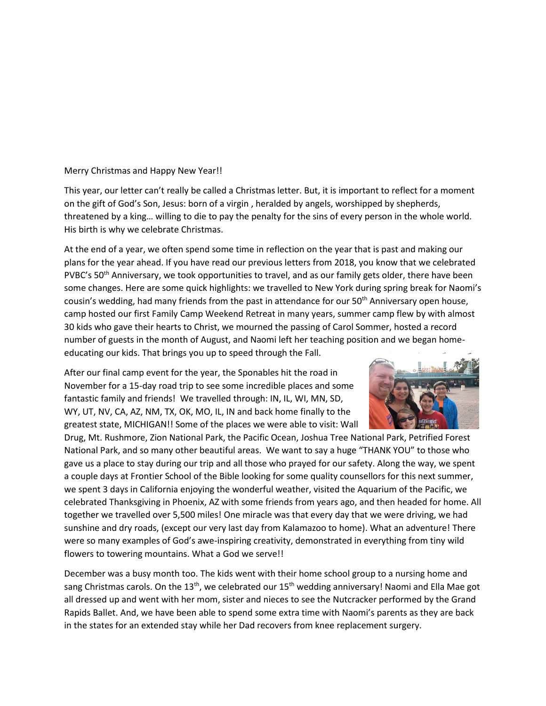## Merry Christmas and Happy New Year!!

This year, our letter can't really be called a Christmas letter. But, it is important to reflect for a moment on the gift of God's Son, Jesus: born of a virgin , heralded by angels, worshipped by shepherds, threatened by a king… willing to die to pay the penalty for the sins of every person in the whole world. His birth is why we celebrate Christmas.

At the end of a year, we often spend some time in reflection on the year that is past and making our plans for the year ahead. If you have read our previous letters from 2018, you know that we celebrated PVBC's 50<sup>th</sup> Anniversary, we took opportunities to travel, and as our family gets older, there have been some changes. Here are some quick highlights: we travelled to New York during spring break for Naomi's cousin's wedding, had many friends from the past in attendance for our 50<sup>th</sup> Anniversary open house, camp hosted our first Family Camp Weekend Retreat in many years, summer camp flew by with almost 30 kids who gave their hearts to Christ, we mourned the passing of Carol Sommer, hosted a record number of guests in the month of August, and Naomi left her teaching position and we began homeeducating our kids. That brings you up to speed through the Fall.

After our final camp event for the year, the Sponables hit the road in November for a 15-day road trip to see some incredible places and some fantastic family and friends! We travelled through: IN, IL, WI, MN, SD, WY, UT, NV, CA, AZ, NM, TX, OK, MO, IL, IN and back home finally to the greatest state, MICHIGAN!! Some of the places we were able to visit: Wall



Drug, Mt. Rushmore, Zion National Park, the Pacific Ocean, Joshua Tree National Park, Petrified Forest National Park, and so many other beautiful areas. We want to say a huge "THANK YOU" to those who gave us a place to stay during our trip and all those who prayed for our safety. Along the way, we spent a couple days at Frontier School of the Bible looking for some quality counsellors for this next summer, we spent 3 days in California enjoying the wonderful weather, visited the Aquarium of the Pacific, we celebrated Thanksgiving in Phoenix, AZ with some friends from years ago, and then headed for home. All together we travelled over 5,500 miles! One miracle was that every day that we were driving, we had sunshine and dry roads, (except our very last day from Kalamazoo to home). What an adventure! There were so many examples of God's awe-inspiring creativity, demonstrated in everything from tiny wild flowers to towering mountains. What a God we serve!!

December was a busy month too. The kids went with their home school group to a nursing home and sang Christmas carols. On the 13<sup>th</sup>, we celebrated our 15<sup>th</sup> wedding anniversary! Naomi and Ella Mae got all dressed up and went with her mom, sister and nieces to see the Nutcracker performed by the Grand Rapids Ballet. And, we have been able to spend some extra time with Naomi's parents as they are back in the states for an extended stay while her Dad recovers from knee replacement surgery.